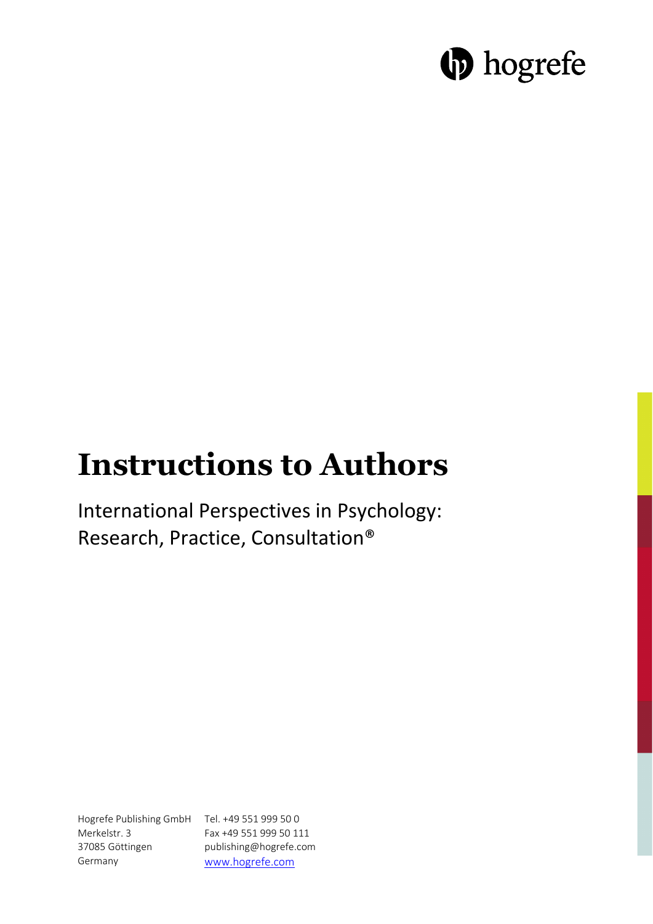# **b** hogrefe

## **Instructions to Authors**

International Perspectives in Psychology: Research, Practice, Consultation®

Hogrefe Publishing GmbH Tel. +49 551 999 50 0 Merkelstr. 3 37085 Göttingen Germany

Fax +49 551 999 50 111 publishing@hogrefe.com www.hogrefe.com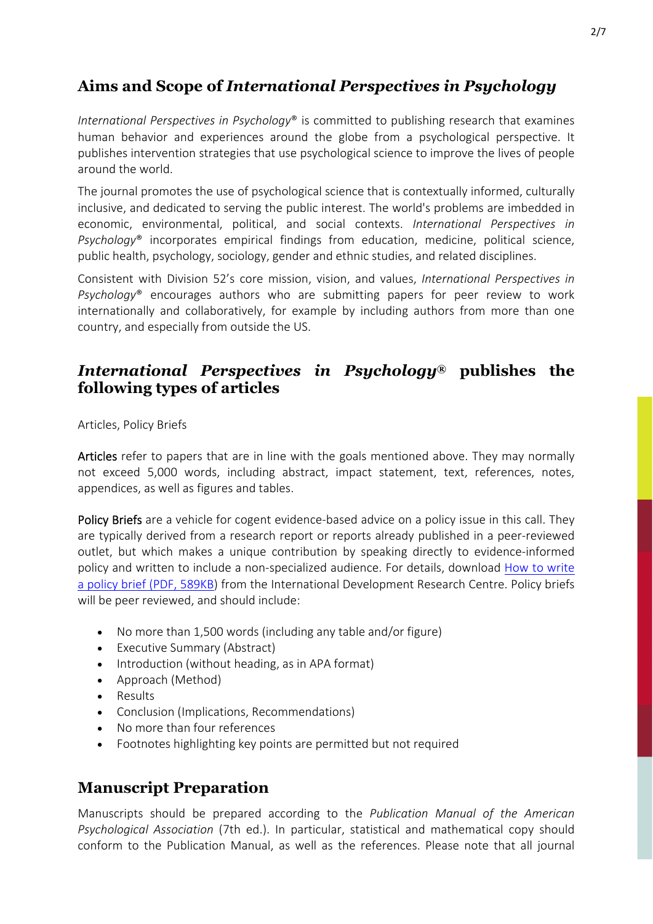## **Aims and Scope of** *International Perspectives in Psychology*

*International Perspectives in Psychology*® is committed to publishing research that examines human behavior and experiences around the globe from a psychological perspective. It publishes intervention strategies that use psychological science to improve the lives of people around the world.

The journal promotes the use of psychological science that is contextually informed, culturally inclusive, and dedicated to serving the public interest. The world's problems are imbedded in economic, environmental, political, and social contexts. *International Perspectives in Psychology*® incorporates empirical findings from education, medicine, political science, public health, psychology, sociology, gender and ethnic studies, and related disciplines.

Consistent with Division 52's core mission, vision, and values, *International Perspectives in Psychology*® encourages authors who are submitting papers for peer review to work internationally and collaboratively, for example by including authors from more than one country, and especially from outside the US.

#### *International Perspectives in Psychology®* **publishes the following types of articles**

Articles, Policy Briefs

Articles refer to papers that are in line with the goals mentioned above. They may normally not exceed 5,000 words, including abstract, impact statement, text, references, notes, appendices, as well as figures and tables.

Policy Briefs are a vehicle for cogent evidence-based advice on a policy issue in this call. They are typically derived from a research report or reports already published in a peer‐reviewed outlet, but which makes a unique contribution by speaking directly to evidence-informed policy and written to include a non‐specialized audience. For details, download How to write a policy brief (PDF, 589KB) from the International Development Research Centre. Policy briefs will be peer reviewed, and should include:

- No more than 1,500 words (including any table and/or figure)
- Executive Summary (Abstract)
- Introduction (without heading, as in APA format)
- Approach (Method)
- Results
- Conclusion (Implications, Recommendations)
- No more than four references
- Footnotes highlighting key points are permitted but not required

#### **Manuscript Preparation**

Manuscripts should be prepared according to the *Publication Manual of the American Psychological Association* (7th ed.). In particular, statistical and mathematical copy should conform to the Publication Manual, as well as the references. Please note that all journal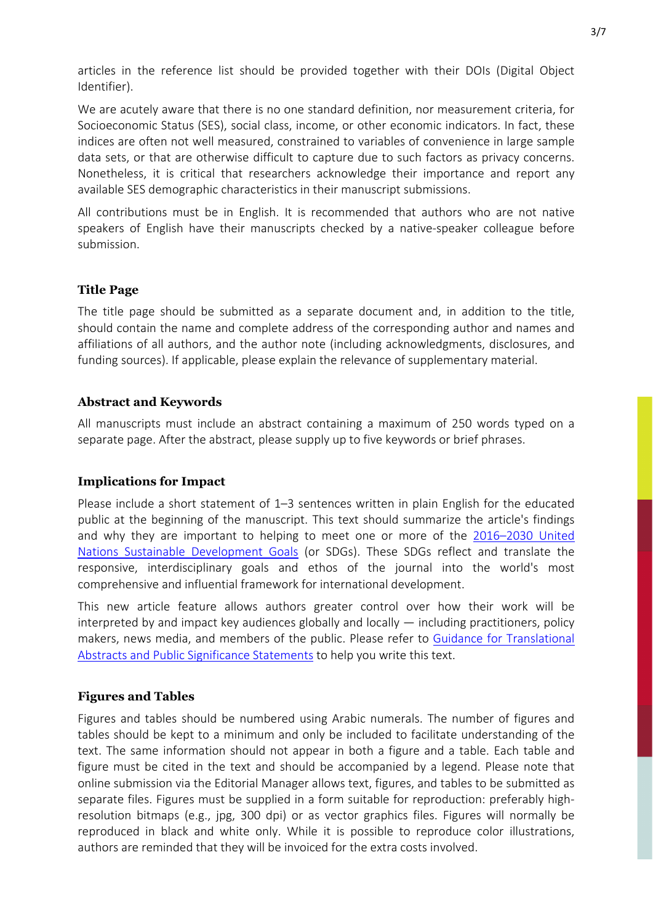articles in the reference list should be provided together with their DOIs (Digital Object Identifier).

We are acutely aware that there is no one standard definition, nor measurement criteria, for Socioeconomic Status (SES), social class, income, or other economic indicators. In fact, these indices are often not well measured, constrained to variables of convenience in large sample data sets, or that are otherwise difficult to capture due to such factors as privacy concerns. Nonetheless, it is critical that researchers acknowledge their importance and report any available SES demographic characteristics in their manuscript submissions.

All contributions must be in English. It is recommended that authors who are not native speakers of English have their manuscripts checked by a native-speaker colleague before submission.

#### **Title Page**

The title page should be submitted as a separate document and, in addition to the title, should contain the name and complete address of the corresponding author and names and affiliations of all authors, and the author note (including acknowledgments, disclosures, and funding sources). If applicable, please explain the relevance of supplementary material.

#### **Abstract and Keywords**

All manuscripts must include an abstract containing a maximum of 250 words typed on a separate page. After the abstract, please supply up to five keywords or brief phrases.

#### **Implications for Impact**

Please include a short statement of 1–3 sentences written in plain English for the educated public at the beginning of the manuscript. This text should summarize the article's findings and why they are important to helping to meet one or more of the 2016–2030 United Nations Sustainable Development Goals (or SDGs). These SDGs reflect and translate the responsive, interdisciplinary goals and ethos of the journal into the world's most comprehensive and influential framework for international development.

This new article feature allows authors greater control over how their work will be interpreted by and impact key audiences globally and locally — including practitioners, policy makers, news media, and members of the public. Please refer to Guidance for Translational Abstracts and Public Significance Statements to help you write this text.

#### **Figures and Tables**

Figures and tables should be numbered using Arabic numerals. The number of figures and tables should be kept to a minimum and only be included to facilitate understanding of the text. The same information should not appear in both a figure and a table. Each table and figure must be cited in the text and should be accompanied by a legend. Please note that online submission via the Editorial Manager allows text, figures, and tables to be submitted as separate files. Figures must be supplied in a form suitable for reproduction: preferably highresolution bitmaps (e.g., jpg, 300 dpi) or as vector graphics files. Figures will normally be reproduced in black and white only. While it is possible to reproduce color illustrations, authors are reminded that they will be invoiced for the extra costs involved.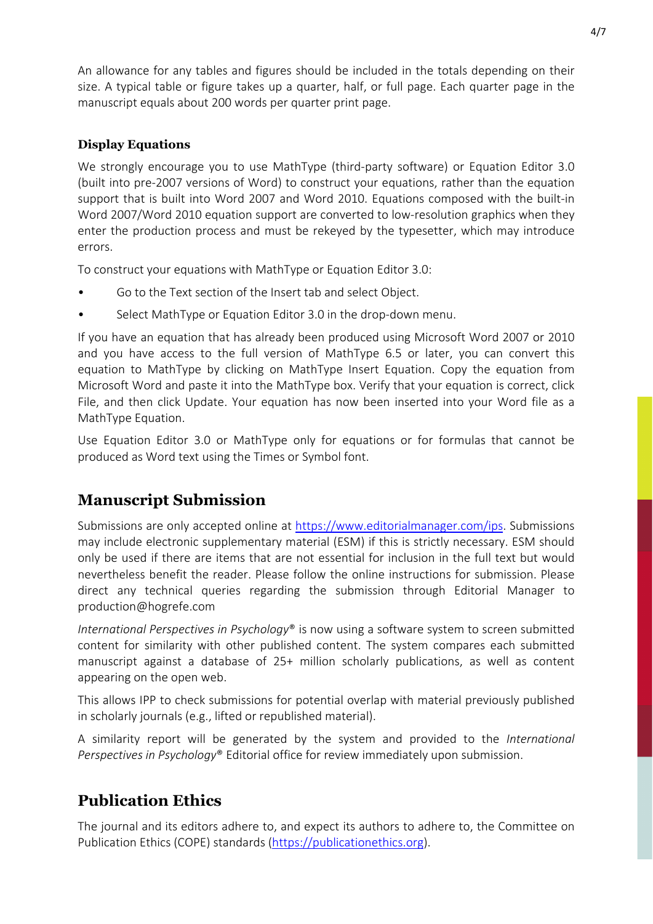An allowance for any tables and figures should be included in the totals depending on their size. A typical table or figure takes up a quarter, half, or full page. Each quarter page in the manuscript equals about 200 words per quarter print page.

#### **Display Equations**

We strongly encourage you to use MathType (third-party software) or Equation Editor 3.0 (built into pre‐2007 versions of Word) to construct your equations, rather than the equation support that is built into Word 2007 and Word 2010. Equations composed with the built‐in Word 2007/Word 2010 equation support are converted to low-resolution graphics when they enter the production process and must be rekeyed by the typesetter, which may introduce errors.

To construct your equations with MathType or Equation Editor 3.0:

- Go to the Text section of the Insert tab and select Object.
- Select MathType or Equation Editor 3.0 in the drop-down menu.

If you have an equation that has already been produced using Microsoft Word 2007 or 2010 and you have access to the full version of MathType 6.5 or later, you can convert this equation to MathType by clicking on MathType Insert Equation. Copy the equation from Microsoft Word and paste it into the MathType box. Verify that your equation is correct, click File, and then click Update. Your equation has now been inserted into your Word file as a MathType Equation.

Use Equation Editor 3.0 or MathType only for equations or for formulas that cannot be produced as Word text using the Times or Symbol font.

## **Manuscript Submission**

Submissions are only accepted online at https://www.editorialmanager.com/ips. Submissions may include electronic supplementary material (ESM) if this is strictly necessary. ESM should only be used if there are items that are not essential for inclusion in the full text but would nevertheless benefit the reader. Please follow the online instructions for submission. Please direct any technical queries regarding the submission through Editorial Manager to production@hogrefe.com

*International Perspectives in Psychology*® is now using a software system to screen submitted content for similarity with other published content. The system compares each submitted manuscript against a database of 25+ million scholarly publications, as well as content appearing on the open web.

This allows IPP to check submissions for potential overlap with material previously published in scholarly journals (e.g., lifted or republished material).

A similarity report will be generated by the system and provided to the *International Perspectives in Psychology*® Editorial office for review immediately upon submission.

## **Publication Ethics**

The journal and its editors adhere to, and expect its authors to adhere to, the Committee on Publication Ethics (COPE) standards (https://publicationethics.org).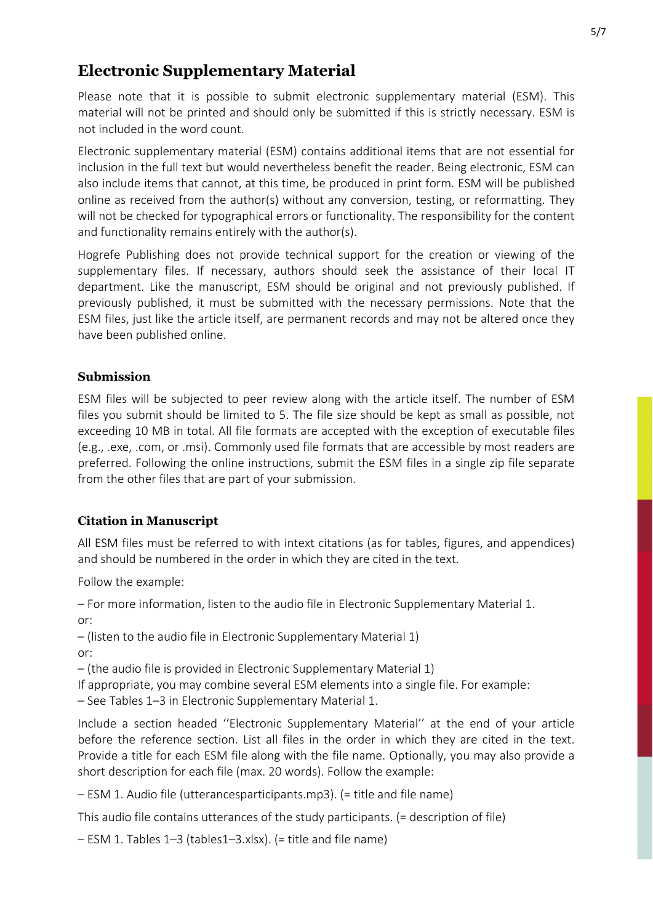## **Electronic Supplementary Material**

Please note that it is possible to submit electronic supplementary material (ESM). This material will not be printed and should only be submitted if this is strictly necessary. ESM is not included in the word count.

Electronic supplementary material (ESM) contains additional items that are not essential for inclusion in the full text but would nevertheless benefit the reader. Being electronic, ESM can also include items that cannot, at this time, be produced in print form. ESM will be published online as received from the author(s) without any conversion, testing, or reformatting. They will not be checked for typographical errors or functionality. The responsibility for the content and functionality remains entirely with the author(s).

Hogrefe Publishing does not provide technical support for the creation or viewing of the supplementary files. If necessary, authors should seek the assistance of their local IT department. Like the manuscript, ESM should be original and not previously published. If previously published, it must be submitted with the necessary permissions. Note that the ESM files, just like the article itself, are permanent records and may not be altered once they have been published online.

#### **Submission**

ESM files will be subjected to peer review along with the article itself. The number of ESM files you submit should be limited to 5. The file size should be kept as small as possible, not exceeding 10 MB in total. All file formats are accepted with the exception of executable files (e.g., .exe, .com, or .msi). Commonly used file formats that are accessible by most readers are preferred. Following the online instructions, submit the ESM files in a single zip file separate from the other files that are part of your submission.

#### **Citation in Manuscript**

All ESM files must be referred to with intext citations (as for tables, figures, and appendices) and should be numbered in the order in which they are cited in the text.

Follow the example:

– For more information, listen to the audio file in Electronic Supplementary Material 1. or:

– (listen to the audio file in Electronic Supplementary Material 1) or:

– (the audio file is provided in Electronic Supplementary Material 1)

If appropriate, you may combine several ESM elements into a single file. For example:

– See Tables 1–3 in Electronic Supplementary Material 1.

Include a section headed ''Electronic Supplementary Material'' at the end of your article before the reference section. List all files in the order in which they are cited in the text. Provide a title for each ESM file along with the file name. Optionally, you may also provide a short description for each file (max. 20 words). Follow the example:

– ESM 1. Audio file (utterancesparticipants.mp3). (= title and file name)

This audio file contains utterances of the study participants. (= description of file)

– ESM 1. Tables 1–3 (tables1–3.xlsx). (= title and file name)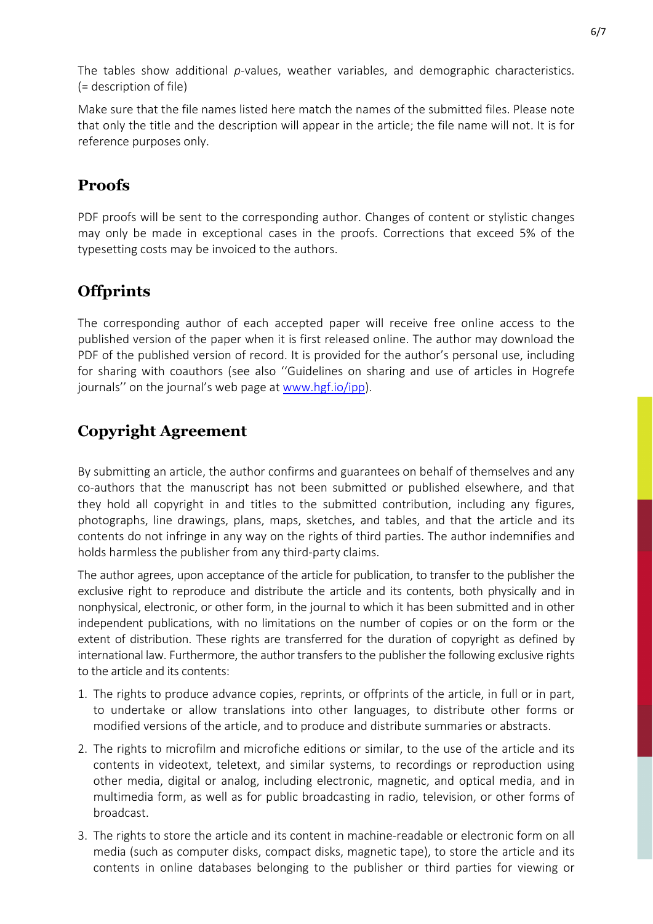The tables show additional *p*-values, weather variables, and demographic characteristics. (= description of file)

Make sure that the file names listed here match the names of the submitted files. Please note that only the title and the description will appear in the article; the file name will not. It is for reference purposes only.

## **Proofs**

PDF proofs will be sent to the corresponding author. Changes of content or stylistic changes may only be made in exceptional cases in the proofs. Corrections that exceed 5% of the typesetting costs may be invoiced to the authors.

## **Offprints**

The corresponding author of each accepted paper will receive free online access to the published version of the paper when it is first released online. The author may download the PDF of the published version of record. It is provided for the author's personal use, including for sharing with coauthors (see also ''Guidelines on sharing and use of articles in Hogrefe journals'' on the journal's web page at www.hgf.io/ipp).

#### **Copyright Agreement**

By submitting an article, the author confirms and guarantees on behalf of themselves and any co‐authors that the manuscript has not been submitted or published elsewhere, and that they hold all copyright in and titles to the submitted contribution, including any figures, photographs, line drawings, plans, maps, sketches, and tables, and that the article and its contents do not infringe in any way on the rights of third parties. The author indemnifies and holds harmless the publisher from any third-party claims.

The author agrees, upon acceptance of the article for publication, to transfer to the publisher the exclusive right to reproduce and distribute the article and its contents, both physically and in nonphysical, electronic, or other form, in the journal to which it has been submitted and in other independent publications, with no limitations on the number of copies or on the form or the extent of distribution. These rights are transferred for the duration of copyright as defined by international law. Furthermore, the author transfers to the publisher the following exclusive rights to the article and its contents:

- 1. The rights to produce advance copies, reprints, or offprints of the article, in full or in part, to undertake or allow translations into other languages, to distribute other forms or modified versions of the article, and to produce and distribute summaries or abstracts.
- 2. The rights to microfilm and microfiche editions or similar, to the use of the article and its contents in videotext, teletext, and similar systems, to recordings or reproduction using other media, digital or analog, including electronic, magnetic, and optical media, and in multimedia form, as well as for public broadcasting in radio, television, or other forms of broadcast.
- 3. The rights to store the article and its content in machine‐readable or electronic form on all media (such as computer disks, compact disks, magnetic tape), to store the article and its contents in online databases belonging to the publisher or third parties for viewing or